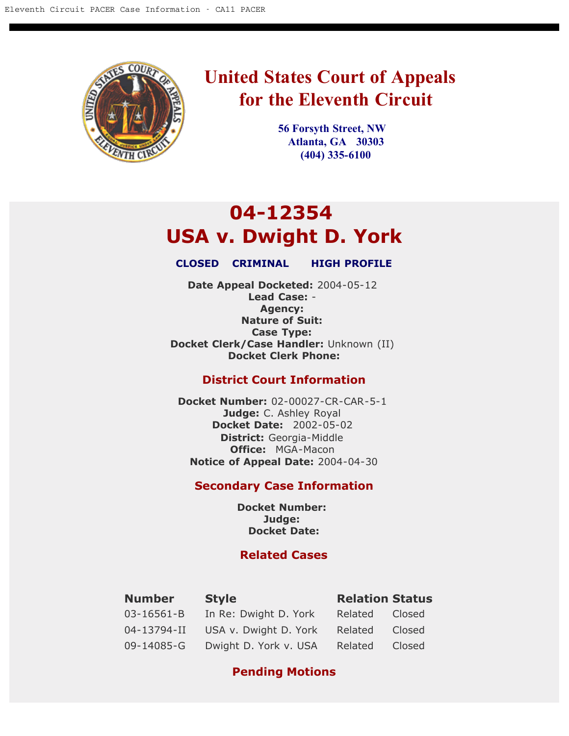

# **United States Court of Appeals for the Eleventh Circuit**

**56 Forsyth Street, NW Atlanta, GA 30303 (404) 335-6100**

# **04-12354 USA v. Dwight D. York**

### **CLOSED CRIMINAL HIGH PROFILE**

**Date Appeal Docketed:** 2004-05-12 **Lead Case:** - **Agency: Nature of Suit: Case Type: Docket Clerk/Case Handler:** Unknown (II) **Docket Clerk Phone:**

# **District Court Information**

**Docket Number:** 02-00027-CR-CAR-5-1 **Judge:** C. Ashley Royal **Docket Date:** 2002-05-02 **District:** Georgia-Middle **Office:** MGA-Macon **Notice of Appeal Date:** 2004-04-30

# **Secondary Case Information**

**Docket Number: Judge: Docket Date:**

# **Related Cases**

| <b>Number</b>    | <b>Style</b>          | <b>Relation Status</b> |        |
|------------------|-----------------------|------------------------|--------|
| $03 - 16561 - B$ | In Re: Dwight D. York | Related                | Closed |
| 04-13794-II      | USA v. Dwight D. York | Related                | Closed |
| 09-14085-G       | Dwight D. York v. USA | Related                | Closed |

# **Pending Motions**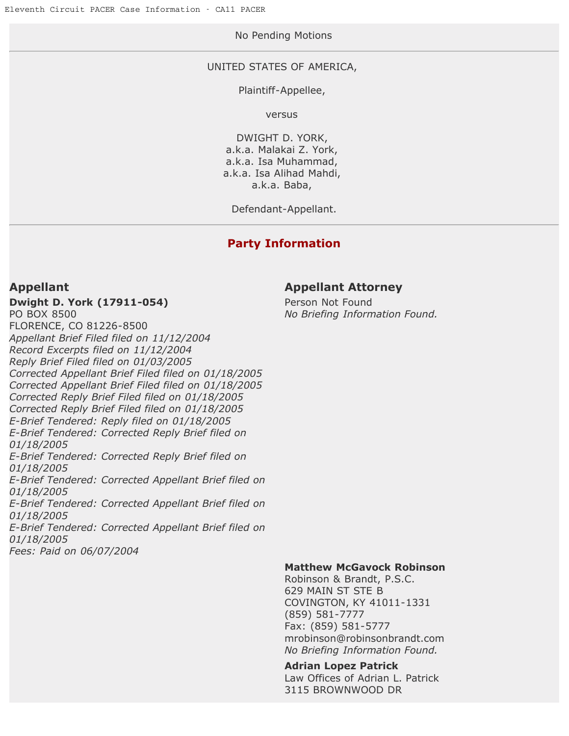# No Pending Motions

### UNITED STATES OF AMERICA,

### Plaintiff-Appellee,

versus

DWIGHT D. YORK, a.k.a. Malakai Z. York, a.k.a. Isa Muhammad, a.k.a. Isa Alihad Mahdi, a.k.a. Baba,

Defendant-Appellant.

# **Party Information**

**Dwight D. York (17911-054)**

PO BOX 8500 FLORENCE, CO 81226-8500 *Appellant Brief Filed filed on 11/12/2004 Record Excerpts filed on 11/12/2004 Reply Brief Filed filed on 01/03/2005 Corrected Appellant Brief Filed filed on 01/18/2005 Corrected Appellant Brief Filed filed on 01/18/2005 Corrected Reply Brief Filed filed on 01/18/2005 Corrected Reply Brief Filed filed on 01/18/2005 E-Brief Tendered: Reply filed on 01/18/2005 E-Brief Tendered: Corrected Reply Brief filed on 01/18/2005 E-Brief Tendered: Corrected Reply Brief filed on 01/18/2005 E-Brief Tendered: Corrected Appellant Brief filed on 01/18/2005 E-Brief Tendered: Corrected Appellant Brief filed on 01/18/2005 E-Brief Tendered: Corrected Appellant Brief filed on*

# *01/18/2005*

*Fees: Paid on 06/07/2004*

# **Appellant Appellant Attorney**

Person Not Found *No Briefing Information Found.*

### **Matthew McGavock Robinson**

Robinson & Brandt, P.S.C. 629 MAIN ST STE B COVINGTON, KY 41011-1331 (859) 581-7777 Fax: (859) 581-5777 mrobinson@robinsonbrandt.com *No Briefing Information Found.*

### **Adrian Lopez Patrick**

Law Offices of Adrian L. Patrick 3115 BROWNWOOD DR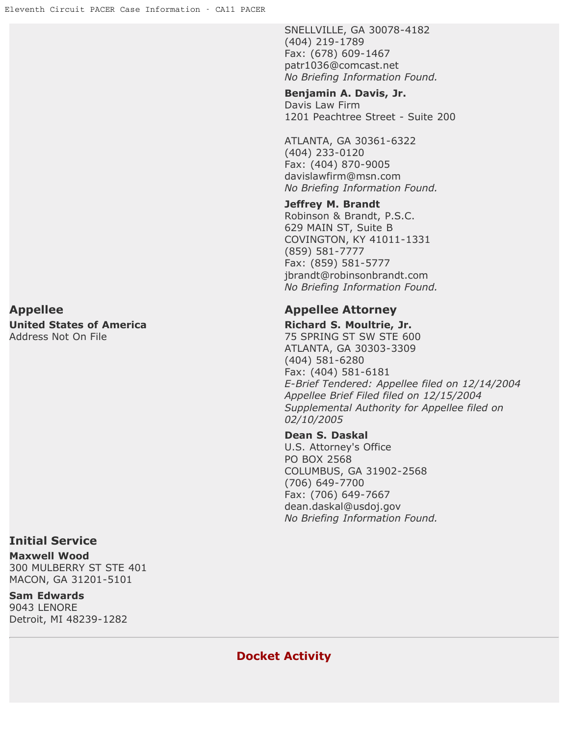SNELLVILLE, GA 30078-4182 (404) 219-1789 Fax: (678) 609-1467 patr1036@comcast.net *No Briefing Information Found.*

### **Benjamin A. Davis, Jr.**

Davis Law Firm 1201 Peachtree Street - Suite 200

ATLANTA, GA 30361-6322 (404) 233-0120 Fax: (404) 870-9005 davislawfirm@msn.com *No Briefing Information Found.*

### **Jeffrey M. Brandt**

Robinson & Brandt, P.S.C. 629 MAIN ST, Suite B COVINGTON, KY 41011-1331 (859) 581-7777 Fax: (859) 581-5777 jbrandt@robinsonbrandt.com *No Briefing Information Found.*

**Richard S. Moultrie, Jr.** 75 SPRING ST SW STE 600 ATLANTA, GA 30303-3309 (404) 581-6280 Fax: (404) 581-6181 *E-Brief Tendered: Appellee filed on 12/14/2004 Appellee Brief Filed filed on 12/15/2004 Supplemental Authority for Appellee filed on 02/10/2005*

### **Dean S. Daskal**

U.S. Attorney's Office PO BOX 2568 COLUMBUS, GA 31902-2568 (706) 649-7700 Fax: (706) 649-7667 dean.daskal@usdoj.gov *No Briefing Information Found.*

**Appellee Appellee Attorney United States of America** Address Not On File

# **Initial Service**

**Maxwell Wood** 300 MULBERRY ST STE 401 MACON, GA 31201-5101

**Sam Edwards** 9043 LENORE Detroit, MI 48239-1282

**Docket Activity**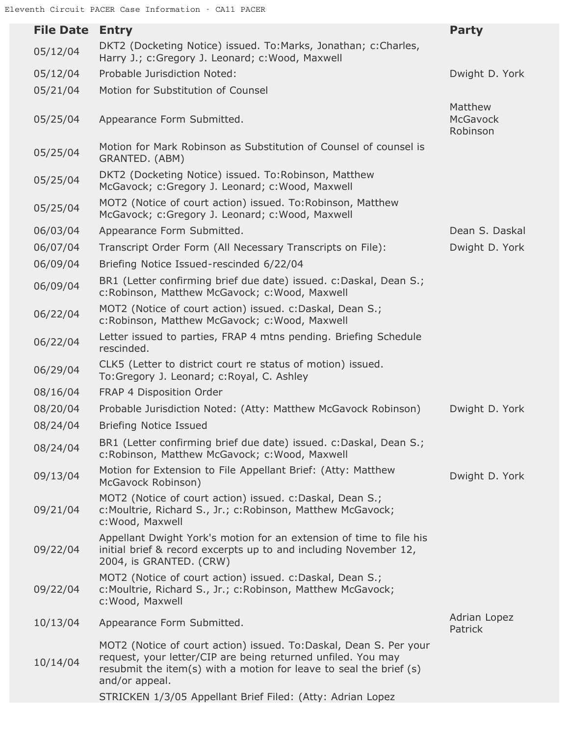| <b>File Date</b> | <b>Entry</b>                                                                                                                                                                                                              | <b>Party</b>                           |
|------------------|---------------------------------------------------------------------------------------------------------------------------------------------------------------------------------------------------------------------------|----------------------------------------|
| 05/12/04         | DKT2 (Docketing Notice) issued. To:Marks, Jonathan; c:Charles,<br>Harry J.; c:Gregory J. Leonard; c:Wood, Maxwell                                                                                                         |                                        |
| 05/12/04         | Probable Jurisdiction Noted:                                                                                                                                                                                              | Dwight D. York                         |
| 05/21/04         | Motion for Substitution of Counsel                                                                                                                                                                                        |                                        |
| 05/25/04         | Appearance Form Submitted.                                                                                                                                                                                                | Matthew<br><b>McGavock</b><br>Robinson |
| 05/25/04         | Motion for Mark Robinson as Substitution of Counsel of counsel is<br>GRANTED. (ABM)                                                                                                                                       |                                        |
| 05/25/04         | DKT2 (Docketing Notice) issued. To:Robinson, Matthew<br>McGavock; c:Gregory J. Leonard; c:Wood, Maxwell                                                                                                                   |                                        |
| 05/25/04         | MOT2 (Notice of court action) issued. To: Robinson, Matthew<br>McGavock; c:Gregory J. Leonard; c:Wood, Maxwell                                                                                                            |                                        |
| 06/03/04         | Appearance Form Submitted.                                                                                                                                                                                                | Dean S. Daskal                         |
| 06/07/04         | Transcript Order Form (All Necessary Transcripts on File):                                                                                                                                                                | Dwight D. York                         |
| 06/09/04         | Briefing Notice Issued-rescinded 6/22/04                                                                                                                                                                                  |                                        |
| 06/09/04         | BR1 (Letter confirming brief due date) issued. c:Daskal, Dean S.;<br>c:Robinson, Matthew McGavock; c:Wood, Maxwell                                                                                                        |                                        |
| 06/22/04         | MOT2 (Notice of court action) issued. c:Daskal, Dean S.;<br>c:Robinson, Matthew McGavock; c:Wood, Maxwell                                                                                                                 |                                        |
| 06/22/04         | Letter issued to parties, FRAP 4 mtns pending. Briefing Schedule<br>rescinded.                                                                                                                                            |                                        |
| 06/29/04         | CLK5 (Letter to district court re status of motion) issued.<br>To:Gregory J. Leonard; c:Royal, C. Ashley                                                                                                                  |                                        |
| 08/16/04         | FRAP 4 Disposition Order                                                                                                                                                                                                  |                                        |
| 08/20/04         | Probable Jurisdiction Noted: (Atty: Matthew McGavock Robinson)                                                                                                                                                            | Dwight D. York                         |
| 08/24/04         | <b>Briefing Notice Issued</b>                                                                                                                                                                                             |                                        |
| 08/24/04         | BR1 (Letter confirming brief due date) issued. c:Daskal, Dean S.;<br>c:Robinson, Matthew McGavock; c:Wood, Maxwell                                                                                                        |                                        |
| 09/13/04         | Motion for Extension to File Appellant Brief: (Atty: Matthew<br>McGavock Robinson)                                                                                                                                        | Dwight D. York                         |
| 09/21/04         | MOT2 (Notice of court action) issued. c:Daskal, Dean S.;<br>c: Moultrie, Richard S., Jr.; c: Robinson, Matthew McGavock;<br>c: Wood, Maxwell                                                                              |                                        |
| 09/22/04         | Appellant Dwight York's motion for an extension of time to file his<br>initial brief & record excerpts up to and including November 12,<br>2004, is GRANTED. (CRW)                                                        |                                        |
| 09/22/04         | MOT2 (Notice of court action) issued. c:Daskal, Dean S.;<br>c: Moultrie, Richard S., Jr.; c: Robinson, Matthew McGavock;<br>c: Wood, Maxwell                                                                              |                                        |
| 10/13/04         | Appearance Form Submitted.                                                                                                                                                                                                | Adrian Lopez<br>Patrick                |
| 10/14/04         | MOT2 (Notice of court action) issued. To:Daskal, Dean S. Per your<br>request, your letter/CIP are being returned unfiled. You may<br>resubmit the item(s) with a motion for leave to seal the brief (s)<br>and/or appeal. |                                        |
|                  | STRICKEN 1/3/05 Appellant Brief Filed: (Atty: Adrian Lopez                                                                                                                                                                |                                        |
|                  |                                                                                                                                                                                                                           |                                        |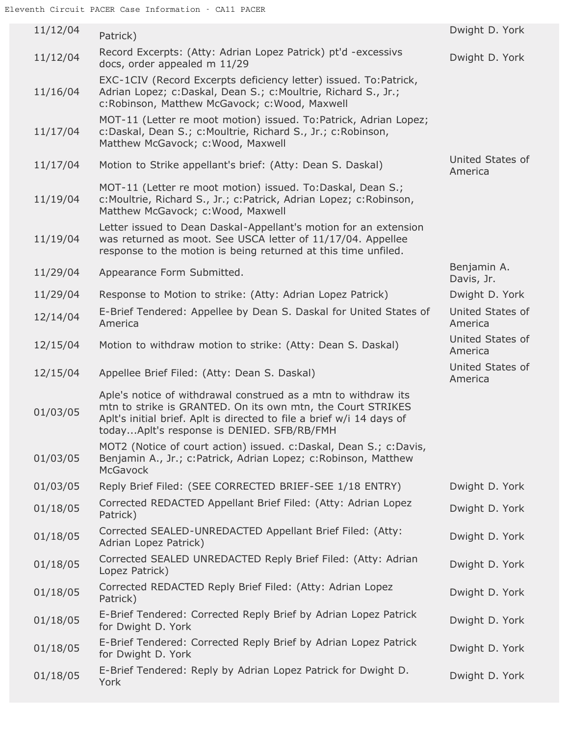| 11/12/04 | Patrick)                                                                                                                                                                                                                                             | Dwight D. York              |
|----------|------------------------------------------------------------------------------------------------------------------------------------------------------------------------------------------------------------------------------------------------------|-----------------------------|
| 11/12/04 | Record Excerpts: (Atty: Adrian Lopez Patrick) pt'd -excessivs<br>docs, order appealed m 11/29                                                                                                                                                        | Dwight D. York              |
| 11/16/04 | EXC-1CIV (Record Excerpts deficiency letter) issued. To:Patrick,<br>Adrian Lopez; c:Daskal, Dean S.; c:Moultrie, Richard S., Jr.;<br>c:Robinson, Matthew McGavock; c:Wood, Maxwell                                                                   |                             |
| 11/17/04 | MOT-11 (Letter re moot motion) issued. To:Patrick, Adrian Lopez;<br>c:Daskal, Dean S.; c:Moultrie, Richard S., Jr.; c:Robinson,<br>Matthew McGavock; c: Wood, Maxwell                                                                                |                             |
| 11/17/04 | Motion to Strike appellant's brief: (Atty: Dean S. Daskal)                                                                                                                                                                                           | United States of<br>America |
| 11/19/04 | MOT-11 (Letter re moot motion) issued. To:Daskal, Dean S.;<br>c: Moultrie, Richard S., Jr.; c: Patrick, Adrian Lopez; c: Robinson,<br>Matthew McGavock; c: Wood, Maxwell                                                                             |                             |
| 11/19/04 | Letter issued to Dean Daskal-Appellant's motion for an extension<br>was returned as moot. See USCA letter of 11/17/04. Appellee<br>response to the motion is being returned at this time unfiled.                                                    |                             |
| 11/29/04 | Appearance Form Submitted.                                                                                                                                                                                                                           | Benjamin A.<br>Davis, Jr.   |
| 11/29/04 | Response to Motion to strike: (Atty: Adrian Lopez Patrick)                                                                                                                                                                                           | Dwight D. York              |
| 12/14/04 | E-Brief Tendered: Appellee by Dean S. Daskal for United States of<br>America                                                                                                                                                                         | United States of<br>America |
| 12/15/04 | Motion to withdraw motion to strike: (Atty: Dean S. Daskal)                                                                                                                                                                                          | United States of<br>America |
|          |                                                                                                                                                                                                                                                      |                             |
| 12/15/04 | Appellee Brief Filed: (Atty: Dean S. Daskal)                                                                                                                                                                                                         | United States of<br>America |
| 01/03/05 | Aple's notice of withdrawal construed as a mtn to withdraw its<br>mtn to strike is GRANTED. On its own mtn, the Court STRIKES<br>Aplt's initial brief. Aplt is directed to file a brief w/i 14 days of<br>todayAplt's response is DENIED. SFB/RB/FMH |                             |
| 01/03/05 | MOT2 (Notice of court action) issued. c:Daskal, Dean S.; c:Davis,<br>Benjamin A., Jr.; c: Patrick, Adrian Lopez; c: Robinson, Matthew<br><b>McGavock</b>                                                                                             |                             |
| 01/03/05 | Reply Brief Filed: (SEE CORRECTED BRIEF-SEE 1/18 ENTRY)                                                                                                                                                                                              | Dwight D. York              |
| 01/18/05 | Corrected REDACTED Appellant Brief Filed: (Atty: Adrian Lopez<br>Patrick)                                                                                                                                                                            | Dwight D. York              |
| 01/18/05 | Corrected SEALED-UNREDACTED Appellant Brief Filed: (Atty:<br>Adrian Lopez Patrick)                                                                                                                                                                   | Dwight D. York              |
| 01/18/05 | Corrected SEALED UNREDACTED Reply Brief Filed: (Atty: Adrian<br>Lopez Patrick)                                                                                                                                                                       | Dwight D. York              |
| 01/18/05 | Corrected REDACTED Reply Brief Filed: (Atty: Adrian Lopez<br>Patrick)                                                                                                                                                                                | Dwight D. York              |
| 01/18/05 | E-Brief Tendered: Corrected Reply Brief by Adrian Lopez Patrick<br>for Dwight D. York                                                                                                                                                                | Dwight D. York              |
| 01/18/05 | E-Brief Tendered: Corrected Reply Brief by Adrian Lopez Patrick<br>for Dwight D. York                                                                                                                                                                | Dwight D. York              |
| 01/18/05 | E-Brief Tendered: Reply by Adrian Lopez Patrick for Dwight D.<br>York                                                                                                                                                                                | Dwight D. York              |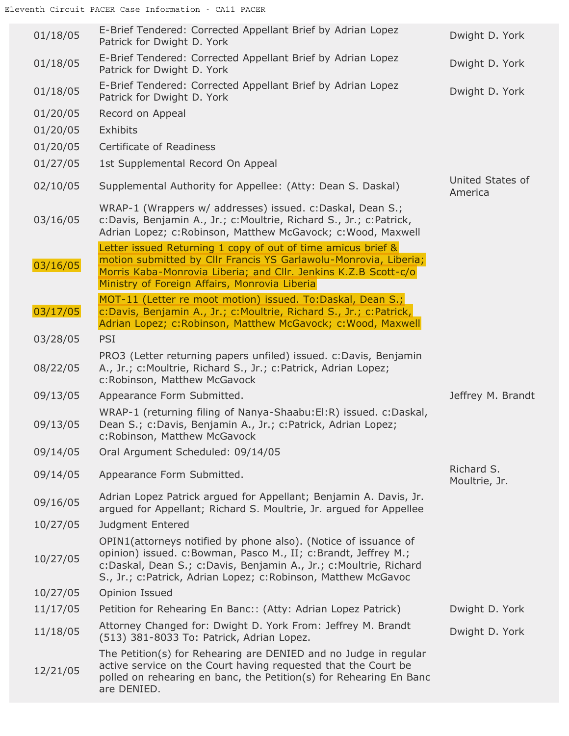| 01/18/05 | E-Brief Tendered: Corrected Appellant Brief by Adrian Lopez<br>Patrick for Dwight D. York                                                                                                                                                                               | Dwight D. York              |
|----------|-------------------------------------------------------------------------------------------------------------------------------------------------------------------------------------------------------------------------------------------------------------------------|-----------------------------|
| 01/18/05 | E-Brief Tendered: Corrected Appellant Brief by Adrian Lopez<br>Patrick for Dwight D. York                                                                                                                                                                               | Dwight D. York              |
| 01/18/05 | E-Brief Tendered: Corrected Appellant Brief by Adrian Lopez<br>Patrick for Dwight D. York                                                                                                                                                                               | Dwight D. York              |
| 01/20/05 | Record on Appeal                                                                                                                                                                                                                                                        |                             |
| 01/20/05 | Exhibits                                                                                                                                                                                                                                                                |                             |
| 01/20/05 | Certificate of Readiness                                                                                                                                                                                                                                                |                             |
| 01/27/05 | 1st Supplemental Record On Appeal                                                                                                                                                                                                                                       |                             |
| 02/10/05 | Supplemental Authority for Appellee: (Atty: Dean S. Daskal)                                                                                                                                                                                                             | United States of<br>America |
| 03/16/05 | WRAP-1 (Wrappers w/ addresses) issued. c:Daskal, Dean S.;<br>c:Davis, Benjamin A., Jr.; c:Moultrie, Richard S., Jr.; c:Patrick,<br>Adrian Lopez; c:Robinson, Matthew McGavock; c:Wood, Maxwell                                                                          |                             |
| 03/16/05 | Letter issued Returning 1 copy of out of time amicus brief &<br>motion submitted by Cllr Francis YS Garlawolu-Monrovia, Liberia;<br>Morris Kaba-Monrovia Liberia; and Cllr. Jenkins K.Z.B Scott-c/o<br>Ministry of Foreign Affairs, Monrovia Liberia                    |                             |
| 03/17/05 | MOT-11 (Letter re moot motion) issued. To:Daskal, Dean S.;<br>c:Davis, Benjamin A., Jr.; c:Moultrie, Richard S., Jr.; c:Patrick,<br>Adrian Lopez; c:Robinson, Matthew McGavock; c:Wood, Maxwell                                                                         |                             |
| 03/28/05 | <b>PSI</b>                                                                                                                                                                                                                                                              |                             |
| 08/22/05 | PRO3 (Letter returning papers unfiled) issued. c: Davis, Benjamin<br>A., Jr.; c: Moultrie, Richard S., Jr.; c: Patrick, Adrian Lopez;<br>c:Robinson, Matthew McGavock                                                                                                   |                             |
| 09/13/05 | Appearance Form Submitted.                                                                                                                                                                                                                                              | Jeffrey M. Brandt           |
| 09/13/05 | WRAP-1 (returning filing of Nanya-Shaabu:El:R) issued. c:Daskal,<br>Dean S.; c:Davis, Benjamin A., Jr.; c:Patrick, Adrian Lopez;<br>c:Robinson, Matthew McGavock                                                                                                        |                             |
| 09/14/05 | Oral Argument Scheduled: 09/14/05                                                                                                                                                                                                                                       |                             |
| 09/14/05 | Appearance Form Submitted.                                                                                                                                                                                                                                              | Richard S.<br>Moultrie, Jr. |
| 09/16/05 | Adrian Lopez Patrick argued for Appellant; Benjamin A. Davis, Jr.<br>argued for Appellant; Richard S. Moultrie, Jr. argued for Appellee                                                                                                                                 |                             |
| 10/27/05 | Judgment Entered                                                                                                                                                                                                                                                        |                             |
| 10/27/05 | OPIN1(attorneys notified by phone also). (Notice of issuance of<br>opinion) issued. c:Bowman, Pasco M., II; c:Brandt, Jeffrey M.;<br>c:Daskal, Dean S.; c:Davis, Benjamin A., Jr.; c:Moultrie, Richard<br>S., Jr.; c:Patrick, Adrian Lopez; c:Robinson, Matthew McGavoc |                             |
| 10/27/05 | Opinion Issued                                                                                                                                                                                                                                                          |                             |
| 11/17/05 | Petition for Rehearing En Banc:: (Atty: Adrian Lopez Patrick)                                                                                                                                                                                                           | Dwight D. York              |
| 11/18/05 | Attorney Changed for: Dwight D. York From: Jeffrey M. Brandt<br>(513) 381-8033 To: Patrick, Adrian Lopez.                                                                                                                                                               | Dwight D. York              |
| 12/21/05 | The Petition(s) for Rehearing are DENIED and no Judge in regular<br>active service on the Court having requested that the Court be<br>polled on rehearing en banc, the Petition(s) for Rehearing En Banc<br>are DENIED.                                                 |                             |